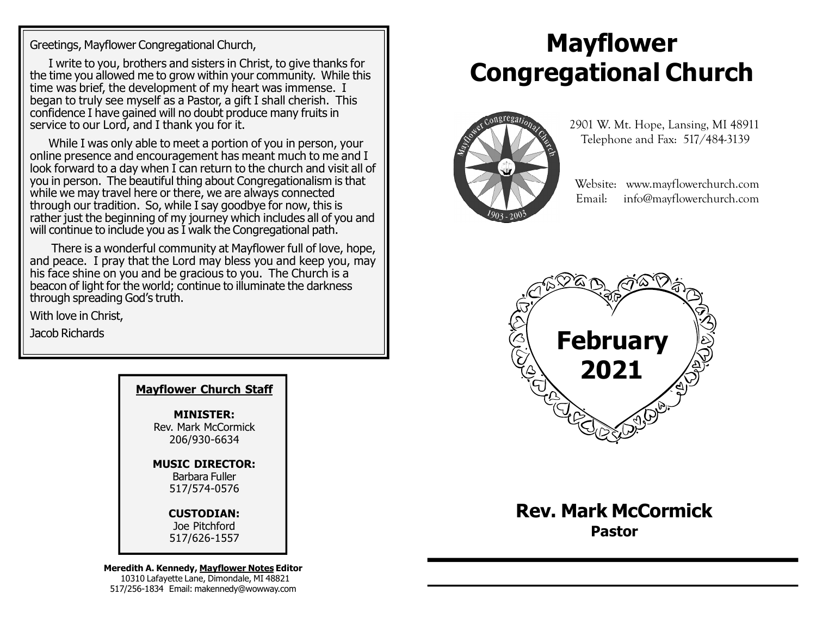Greetings, Mayflower Congregational Church,

I write to you, brothers and sisters in Christ, to give thanks for the time you allowed me to grow within your community. While this time was brief, the development of my heart was immense. I began to truly see myself as a Pastor, a gift I shall cherish. This confidence I have gained will no doubt produce many fruits in service to our Lord, and I thank you for it.

While I was only able to meet a portion of you in person, your online presence and encouragement has meant much to me and I look forward to a day when I can return to the church and visit all of you in person. The beautiful thing about Congregationalism is that while we may travel here or there, we are always connected through our tradition. So, while I say goodbye for now, this is rather just the beginning of my journey which includes all of you and will continue to include you as I walk the Congregational path.

 There is a wonderful community at Mayflower full of love, hope, and peace. I pray that the Lord may bless you and keep you, may his face shine on you and be gracious to you. The Church is a beacon of light for the world; continue to illuminate the darkness through spreading God's truth.

With love in Christ,

Jacob Richards

| <b>Mayflower Church Staff</b>                            |
|----------------------------------------------------------|
| <b>MINISTER:</b><br>Rev. Mark McCormick<br>206/930-6634  |
| <b>MUSIC DIRECTOR:</b><br>Barbara Fuller<br>517/574-0576 |
| <b>CUSTODIAN:</b><br>Joe Pitchford                       |

517/626-1557

Meredith A. Kennedy, Mayflower Notes Editor 10310 Lafayette Lane, Dimondale, MI 48821 517/256-1834 Email: makennedy@wowway.com

# Mayflower Congregational Church



 2901 W. Mt. Hope, Lansing, MI 48911 Telephone and Fax: 517/484-3139

 Website: www.mayflowerchurch.com Email: info@mayflowerchurch.com



Rev. Mark McCormick Pastor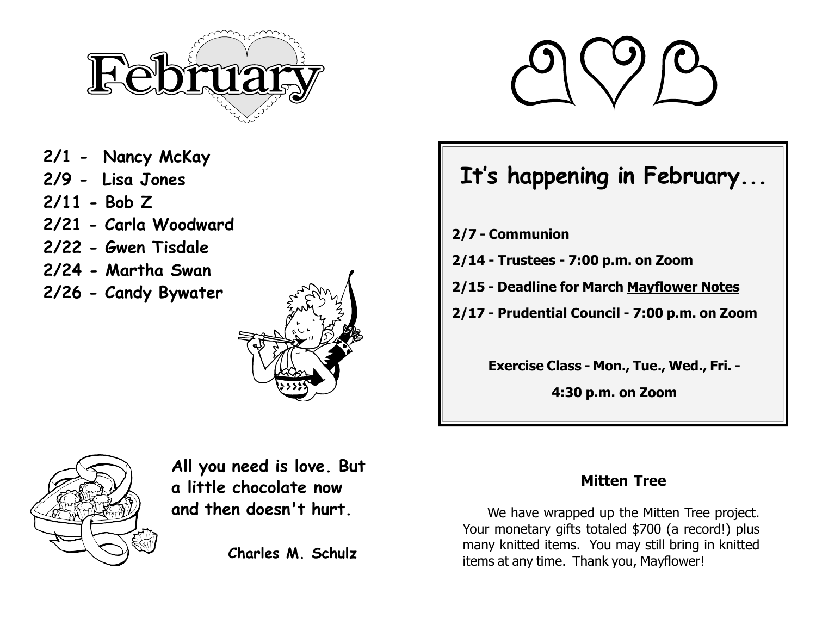

- 2/1 Nancy McKay
- 2/9 Lisa Jones
- 2/11 Bob Z
- 2/21 Carla Woodward
- 2/22 Gwen Tisdale
- 2/24 Martha Swan
- 2/26 Candy Bywater





## It's happening in February...

- 2/7 Communion
- 2/14 Trustees 7:00 p.m. on Zoom
- 2/15 Deadline for March Mayflower Notes
- 2/17 Prudential Council 7:00 p.m. on Zoom

Exercise Class - Mon., Tue., Wed., Fri. -

4:30 p.m. on Zoom



All you need is love. But a little chocolate now and then doesn't hurt.

Charles M. Schulz

### Mitten Tree

We have wrapped up the Mitten Tree project. Your monetary gifts totaled \$700 (a record!) plus many knitted items. You may still bring in knitted items at any time. Thank you, Mayflower!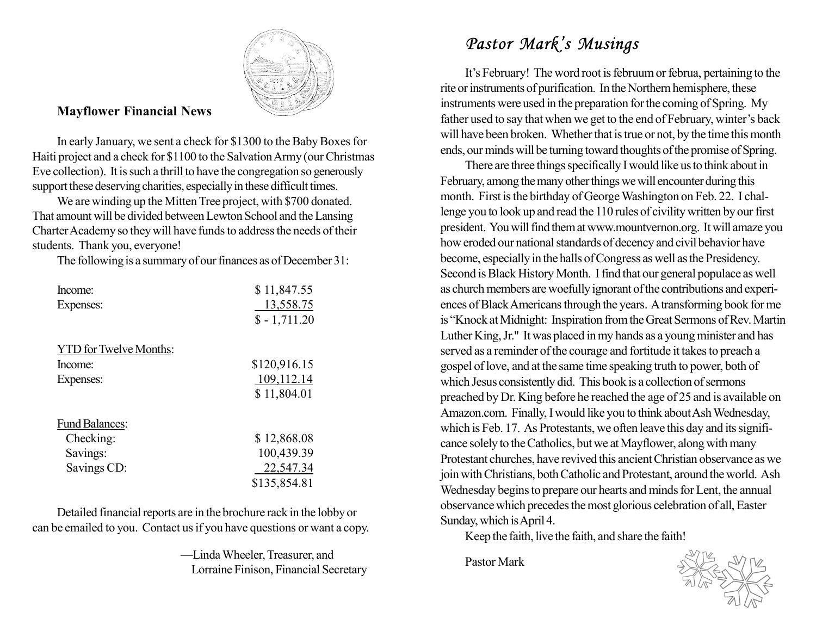

#### Mayflower Financial News

In early January, we sent a check for \$1300 to the Baby Boxes for Haiti project and a check for \$1100 to the Salvation Army (our Christmas Eve collection). It is such a thrill to have the congregation so generously support these deserving charities, especially in these difficult times.

We are winding up the Mitten Tree project, with \$700 donated. That amount will be divided between Lewton School and the Lansing Charter Academy so they will have funds to address the needs of their students. Thank you, everyone!

The following is a summary of our finances as of December 31:

| Income:                       | \$11,847.55   |
|-------------------------------|---------------|
| Expenses:                     | 13,558.75     |
|                               | $$ -1,711.20$ |
| <b>YTD</b> for Twelve Months: |               |
| Income:                       | \$120,916.15  |
| Expenses:                     | 109,112.14    |
|                               | \$11,804.01   |
| <b>Fund Balances:</b>         |               |
| Checking:                     | \$12,868.08   |
| Savings:                      | 100,439.39    |
| Savings CD:                   | 22,547.34     |
|                               | \$135,854.81  |

Detailed financial reports are in the brochure rack in the lobby or can be emailed to you. Contact us if you have questions or want a copy.

> —Linda Wheeler, Treasurer, and Lorraine Finison, Financial Secretary

### Pastor Mark's Musings

It's February! The word root is februum or februa, pertaining to the rite or instruments of purification. In the Northern hemisphere, these instruments were used in the preparation for the coming of Spring. My father used to say that when we get to the end of February, winter's back will have been broken. Whether that is true or not, by the time this month ends, our minds will be turning toward thoughts of the promise of Spring.

There are three things specifically I would like us to think about in February, among the many other things we will encounter during this month. First is the birthday of George Washington on Feb. 22. I challenge you to look up and read the 110 rules of civility written by our first president. You will find them at www.mountvernon.org. It will amaze you how eroded our national standards of decency and civil behavior have become, especially in the halls of Congress as well as the Presidency. Second is Black History Month. I find that our general populace as well as church members are woefully ignorant of the contributions and experiences of Black Americans through the years. A transforming book for me is "Knock at Midnight: Inspiration from the Great Sermons of Rev. Martin Luther King, Jr." It was placed in my hands as a young minister and has served as a reminder of the courage and fortitude it takes to preach a gospel of love, and at the same time speaking truth to power, both of which Jesus consistently did. This book is a collection of sermons preached by Dr. King before he reached the age of 25 and is available on Amazon.com. Finally, I would like you to think about Ash Wednesday, which is Feb. 17. As Protestants, we often leave this day and its significance solely to the Catholics, but we at Mayflower, along with many Protestant churches, have revived this ancient Christian observance as we join with Christians, both Catholic and Protestant, around the world. Ash Wednesday begins to prepare our hearts and minds for Lent, the annual observance which precedes the most glorious celebration of all, Easter Sunday, which is April 4.

Keep the faith, live the faith, and share the faith!

Pastor Mark